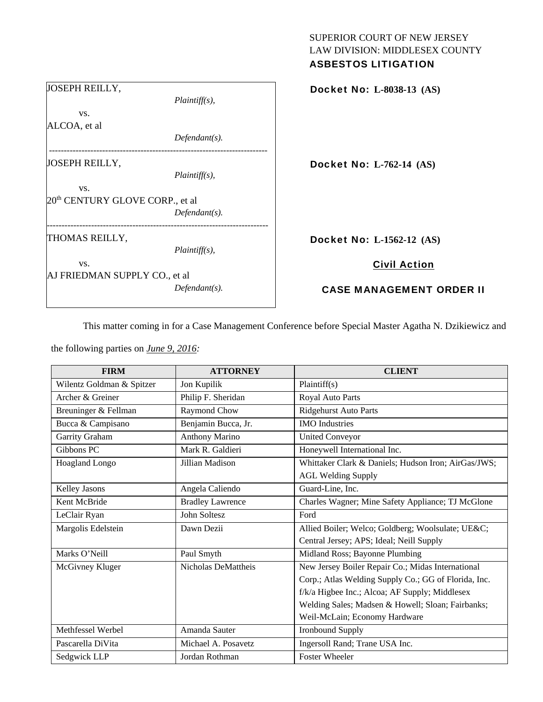| <b>ASBESTOS LITIGATION</b>      |
|---------------------------------|
| Docket No: L-8038-13 (AS)       |
|                                 |
| <b>Docket No: L-762-14 (AS)</b> |
|                                 |
| Docket No: L-1562-12 (AS)       |
| <b>Civil Action</b>             |
| <b>CASE MANAGEMENT ORDER II</b> |
|                                 |

This matter coming in for a Case Management Conference before Special Master Agatha N. Dzikiewicz and

SUPERIOR COURT OF NEW JERSEY LAW DIVISION: MIDDLESEX COUNTY

the following parties on *June 9, 2016:* 

| <b>FIRM</b>               | <b>ATTORNEY</b>         | <b>CLIENT</b>                                        |
|---------------------------|-------------------------|------------------------------------------------------|
| Wilentz Goldman & Spitzer | Jon Kupilik             | Plaintiff(s)                                         |
| Archer & Greiner          | Philip F. Sheridan      | Royal Auto Parts                                     |
| Breuninger & Fellman      | Raymond Chow            | <b>Ridgehurst Auto Parts</b>                         |
| Bucca & Campisano         | Benjamin Bucca, Jr.     | <b>IMO</b> Industries                                |
| Garrity Graham            | <b>Anthony Marino</b>   | <b>United Conveyor</b>                               |
| Gibbons PC                | Mark R. Galdieri        | Honeywell International Inc.                         |
| Hoagland Longo            | Jillian Madison         | Whittaker Clark & Daniels; Hudson Iron; AirGas/JWS;  |
|                           |                         | <b>AGL Welding Supply</b>                            |
| Kelley Jasons             | Angela Caliendo         | Guard-Line, Inc.                                     |
| Kent McBride              | <b>Bradley Lawrence</b> | Charles Wagner; Mine Safety Appliance; TJ McGlone    |
| LeClair Ryan              | John Soltesz            | Ford                                                 |
| Margolis Edelstein        | Dawn Dezii              | Allied Boiler; Welco; Goldberg; Woolsulate; UE&C     |
|                           |                         | Central Jersey; APS; Ideal; Neill Supply             |
| Marks O'Neill             | Paul Smyth              | Midland Ross; Bayonne Plumbing                       |
| McGivney Kluger           | Nicholas DeMattheis     | New Jersey Boiler Repair Co.; Midas International    |
|                           |                         | Corp.; Atlas Welding Supply Co.; GG of Florida, Inc. |
|                           |                         | f/k/a Higbee Inc.; Alcoa; AF Supply; Middlesex       |
|                           |                         | Welding Sales; Madsen & Howell; Sloan; Fairbanks;    |
|                           |                         | Weil-McLain; Economy Hardware                        |
| Methfessel Werbel         | Amanda Sauter           | <b>Ironbound Supply</b>                              |
| Pascarella DiVita         | Michael A. Posavetz     | Ingersoll Rand; Trane USA Inc.                       |
| Sedgwick LLP              | Jordan Rothman          | <b>Foster Wheeler</b>                                |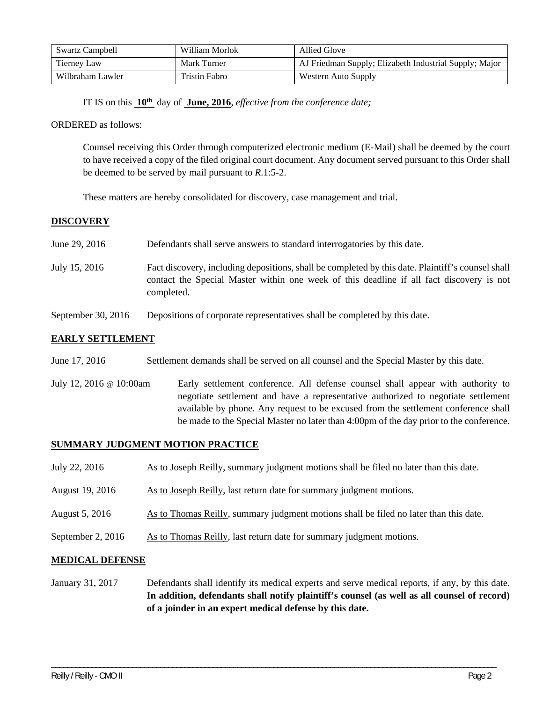| <b>Swartz Campbell</b> | William Morlok       | Allied Glove                                           |
|------------------------|----------------------|--------------------------------------------------------|
| Tierney Law            | Mark Turner          | AJ Friedman Supply; Elizabeth Industrial Supply; Major |
| Wilbraham Lawler       | <b>Tristin Fabro</b> | Western Auto Supply                                    |

IT IS on this **10th** day of **June, 2016**, *effective from the conference date;*

### ORDERED as follows:

Counsel receiving this Order through computerized electronic medium (E-Mail) shall be deemed by the court to have received a copy of the filed original court document. Any document served pursuant to this Order shall be deemed to be served by mail pursuant to *R*.1:5-2.

These matters are hereby consolidated for discovery, case management and trial.

## **DISCOVERY**

| June 29, 2016      | Defendants shall serve answers to standard interrogatories by this date.                                                                                                                                    |
|--------------------|-------------------------------------------------------------------------------------------------------------------------------------------------------------------------------------------------------------|
| July 15, 2016      | Fact discovery, including depositions, shall be completed by this date. Plaintiff's counsel shall<br>contact the Special Master within one week of this deadline if all fact discovery is not<br>completed. |
| September 30, 2016 | Depositions of corporate representatives shall be completed by this date.                                                                                                                                   |

# **EARLY SETTLEMENT**

| June 17, 2016 | Settlement demands shall be served on all counsel and the Special Master by this date. |
|---------------|----------------------------------------------------------------------------------------|
|               |                                                                                        |

July 12, 2016 @ 10:00am Early settlement conference. All defense counsel shall appear with authority to negotiate settlement and have a representative authorized to negotiate settlement available by phone. Any request to be excused from the settlement conference shall be made to the Special Master no later than 4:00pm of the day prior to the conference.

## **SUMMARY JUDGMENT MOTION PRACTICE**

- July 22, 2016 As to Joseph Reilly, summary judgment motions shall be filed no later than this date.
- August 19, 2016 As to Joseph Reilly, last return date for summary judgment motions.
- August 5, 2016 As to Thomas Reilly, summary judgment motions shall be filed no later than this date.
- September 2, 2016 As to Thomas Reilly, last return date for summary judgment motions.

### **MEDICAL DEFENSE**

January 31, 2017 Defendants shall identify its medical experts and serve medical reports, if any, by this date. **In addition, defendants shall notify plaintiff's counsel (as well as all counsel of record) of a joinder in an expert medical defense by this date.** 

\_\_\_\_\_\_\_\_\_\_\_\_\_\_\_\_\_\_\_\_\_\_\_\_\_\_\_\_\_\_\_\_\_\_\_\_\_\_\_\_\_\_\_\_\_\_\_\_\_\_\_\_\_\_\_\_\_\_\_\_\_\_\_\_\_\_\_\_\_\_\_\_\_\_\_\_\_\_\_\_\_\_\_\_\_\_\_\_\_\_\_\_\_\_\_\_\_\_\_\_\_\_\_\_\_\_\_\_\_\_